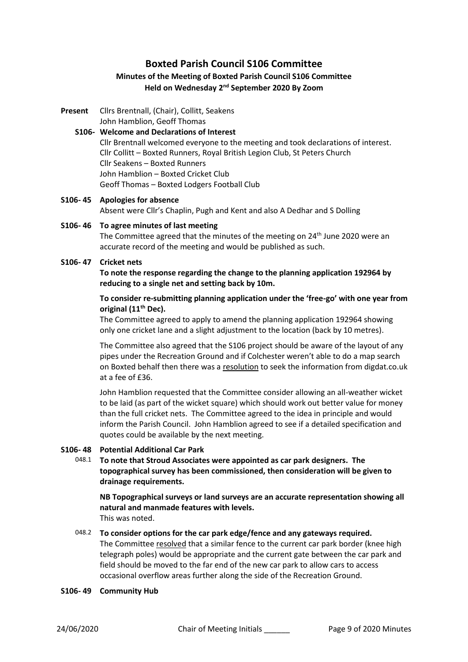### **Boxted Parish Council S106 Committee**

#### **Minutes of the Meeting of Boxted Parish Council S106 Committee Held on Wednesday 2<sup>nd</sup> September 2020 By Zoom**

**Present** Cllrs Brentnall, (Chair), Collitt, Seakens

John Hamblion, Geoff Thomas

#### **S106- 44Welcome and Declarations of Interest** Cllr Brentnall welcomed everyone to the meeting and took declarations of interest. Cllr Collitt – Boxted Runners, Royal British Legion Club, St Peters Church Cllr Seakens – Boxted Runners John Hamblion – Boxted Cricket Club Geoff Thomas – Boxted Lodgers Football Club

# **S106- 45 Apologies for absence**

Absent were Cllr's Chaplin, Pugh and Kent and also A Dedhar and S Dolling

## **S106- 46 To agree minutes of last meeting**

The Committee agreed that the minutes of the meeting on 24<sup>th</sup> June 2020 were an accurate record of the meeting and would be published as such.

#### **S106- 47 Cricket nets**

**To note the response regarding the change to the planning application 192964 by reducing to a single net and setting back by 10m.**

#### **To consider re-submitting planning application under the 'free-go' with one year from original (11th Dec).**

The Committee agreed to apply to amend the planning application 192964 showing only one cricket lane and a slight adjustment to the location (back by 10 metres).

The Committee also agreed that the S106 project should be aware of the layout of any pipes under the Recreation Ground and if Colchester weren't able to do a map search on Boxted behalf then there was a resolution to seek the information from digdat.co.uk at a fee of £36.

John Hamblion requested that the Committee consider allowing an all-weather wicket to be laid (as part of the wicket square) which should work out better value for money than the full cricket nets. The Committee agreed to the idea in principle and would inform the Parish Council. John Hamblion agreed to see if a detailed specification and quotes could be available by the next meeting.

#### **S106- 48 Potential Additional Car Park**

048.1 **To note that Stroud Associates were appointed as car park designers. The topographical survey has been commissioned, then consideration will be given to drainage requirements.**

**NB Topographical surveys or land surveys are an accurate representation showing all natural and manmade features with levels.** This was noted.

#### 048.2 **To consider options for the car park edge/fence and any gateways required.**

The Committee resolved that a similar fence to the current car park border (knee high telegraph poles) would be appropriate and the current gate between the car park and field should be moved to the far end of the new car park to allow cars to access occasional overflow areas further along the side of the Recreation Ground.

#### **S106- 49 Community Hub**